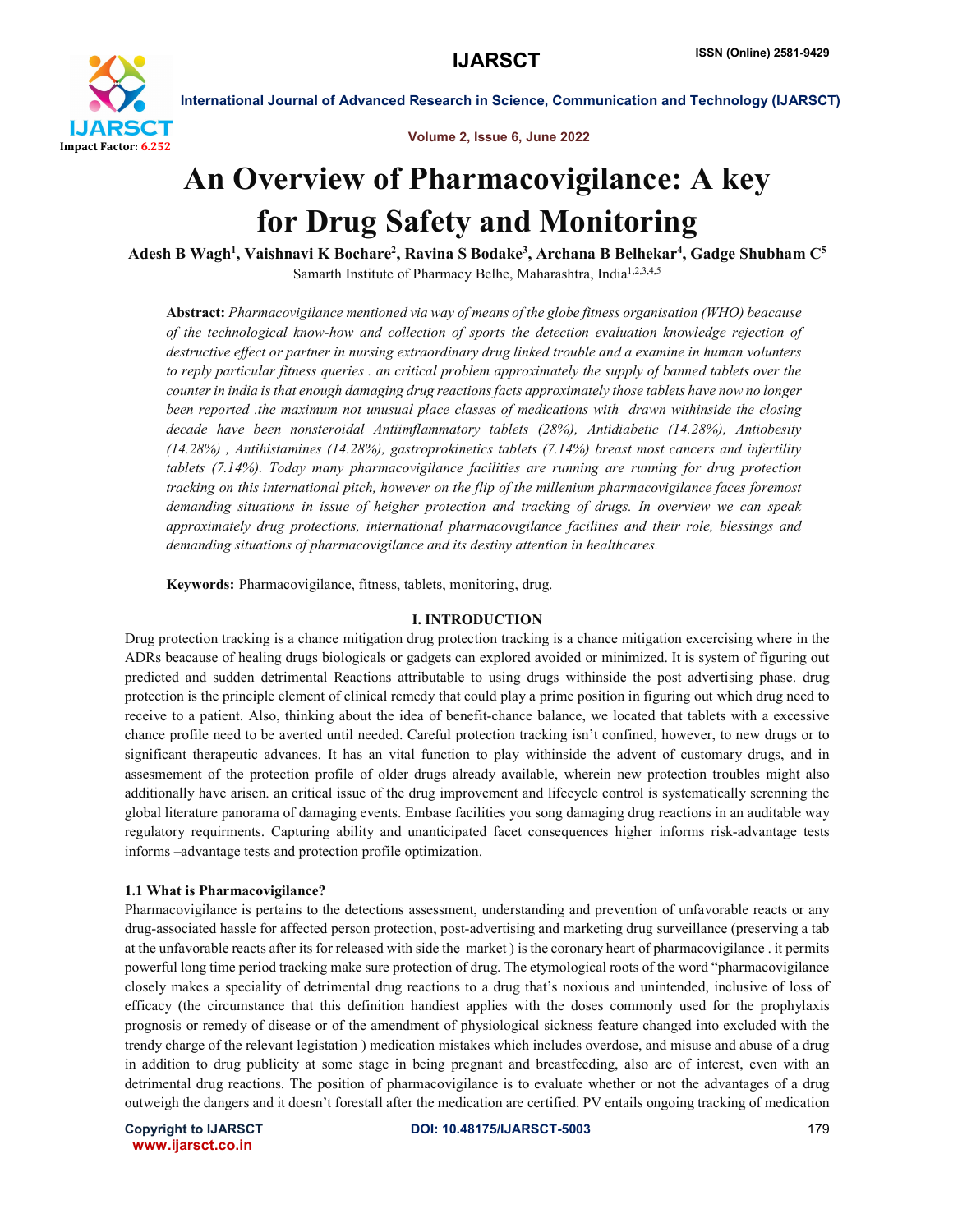

Volume 2, Issue 6, June 2022

# An Overview of Pharmacovigilance: A key for Drug Safety and Monitoring

Adesh B Wagh<sup>1</sup>, Vaishnavi K Bochare<sup>2</sup>, Ravina S Bodake<sup>3</sup>, Archana B Belhekar<sup>4</sup>, Gadge Shubham C<sup>5</sup> Samarth Institute of Pharmacy Belhe, Maharashtra, India<sup>1,2,3,4,5</sup>

Abstract: *Pharmacovigilance mentioned via way of means of the globe fitness organisation (WHO) beacause of the technological know-how and collection of sports the detection evaluation knowledge rejection of destructive effect or partner in nursing extraordinary drug linked trouble and a examine in human volunters to reply particular fitness queries . an critical problem approximately the supply of banned tablets over the counter in india is that enough damaging drug reactions facts approximately those tablets have now no longer been reported .the maximum not unusual place classes of medications with drawn withinside the closing decade have been nonsteroidal Antiimflammatory tablets (28%), Antidiabetic (14.28%), Antiobesity (14.28%) , Antihistamines (14.28%), gastroprokinetics tablets (7.14%) breast most cancers and infertility tablets (7.14%). Today many pharmacovigilance facilities are running are running for drug protection tracking on this international pitch, however on the flip of the millenium pharmacovigilance faces foremost demanding situations in issue of heigher protection and tracking of drugs. In overview we can speak approximately drug protections, international pharmacovigilance facilities and their role, blessings and demanding situations of pharmacovigilance and its destiny attention in healthcares.*

Keywords: Pharmacovigilance, fitness, tablets, monitoring, drug.

#### I. INTRODUCTION

Drug protection tracking is a chance mitigation drug protection tracking is a chance mitigation excercising where in the ADRs beacause of healing drugs biologicals or gadgets can explored avoided or minimized. It is system of figuring out predicted and sudden detrimental Reactions attributable to using drugs withinside the post advertising phase. drug protection is the principle element of clinical remedy that could play a prime position in figuring out which drug need to receive to a patient. Also, thinking about the idea of benefit-chance balance, we located that tablets with a excessive chance profile need to be averted until needed. Careful protection tracking isn't confined, however, to new drugs or to significant therapeutic advances. It has an vital function to play withinside the advent of customary drugs, and in assesmement of the protection profile of older drugs already available, wherein new protection troubles might also additionally have arisen. an critical issue of the drug improvement and lifecycle control is systematically screnning the global literature panorama of damaging events. Embase facilities you song damaging drug reactions in an auditable way regulatory requirments. Capturing ability and unanticipated facet consequences higher informs risk-advantage tests informs –advantage tests and protection profile optimization.

#### 1.1 What is Pharmacovigilance?

Pharmacovigilance is pertains to the detections assessment, understanding and prevention of unfavorable reacts or any drug-associated hassle for affected person protection, post-advertising and marketing drug surveillance (preserving a tab at the unfavorable reacts after its for released with side the market ) is the coronary heart of pharmacovigilance . it permits powerful long time period tracking make sure protection of drug. The etymological roots of the word "pharmacovigilance closely makes a speciality of detrimental drug reactions to a drug that's noxious and unintended, inclusive of loss of efficacy (the circumstance that this definition handiest applies with the doses commonly used for the prophylaxis prognosis or remedy of disease or of the amendment of physiological sickness feature changed into excluded with the trendy charge of the relevant legistation ) medication mistakes which includes overdose, and misuse and abuse of a drug in addition to drug publicity at some stage in being pregnant and breastfeeding, also are of interest, even with an detrimental drug reactions. The position of pharmacovigilance is to evaluate whether or not the advantages of a drug outweigh the dangers and it doesn't forestall after the medication are certified. PV entails ongoing tracking of medication

www.ijarsct.co.in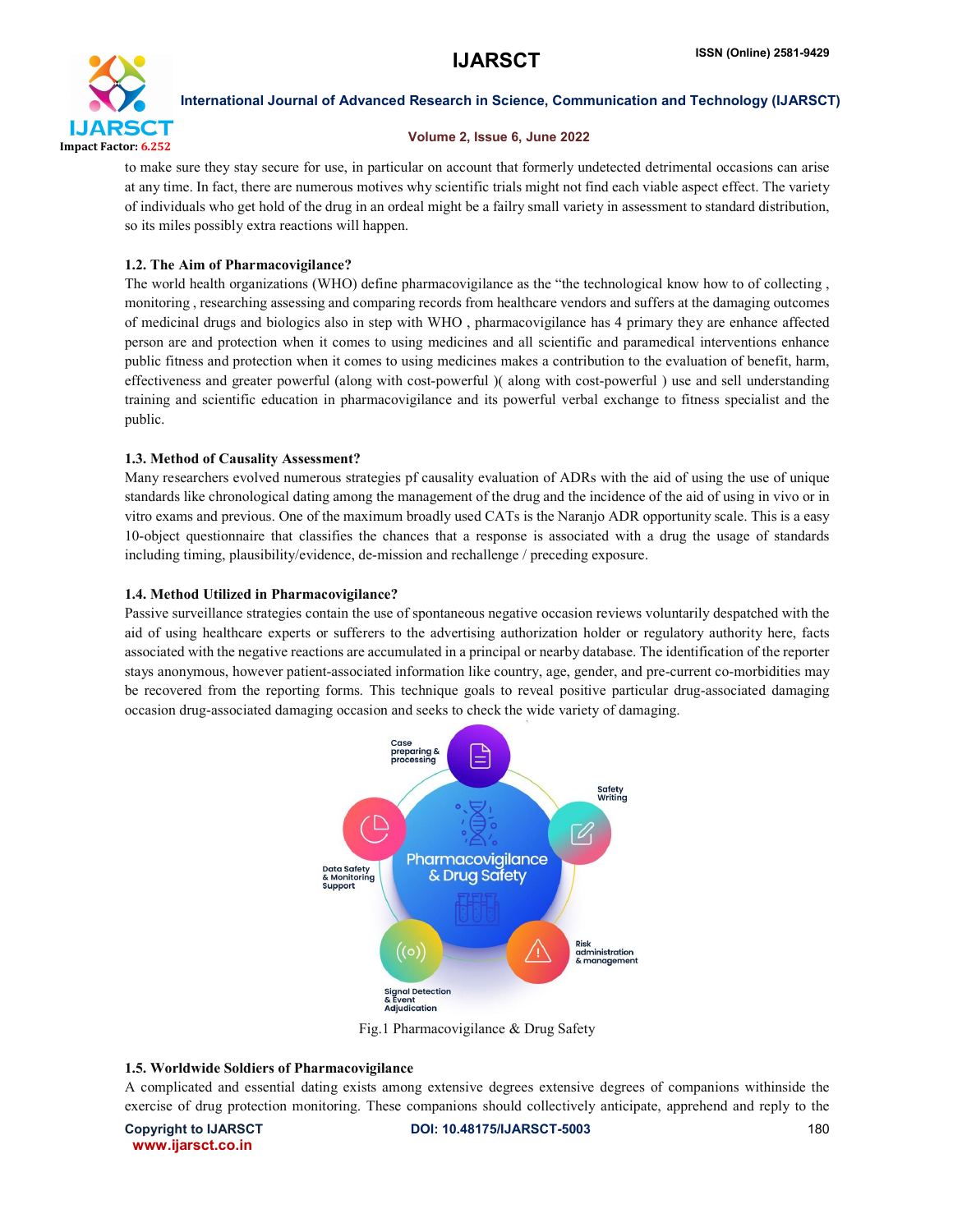

### Volume 2, Issue 6, June 2022

to make sure they stay secure for use, in particular on account that formerly undetected detrimental occasions can arise at any time. In fact, there are numerous motives why scientific trials might not find each viable aspect effect. The variety of individuals who get hold of the drug in an ordeal might be a failry small variety in assessment to standard distribution, so its miles possibly extra reactions will happen.

# 1.2. The Aim of Pharmacovigilance?

The world health organizations (WHO) define pharmacovigilance as the "the technological know how to of collecting , monitoring , researching assessing and comparing records from healthcare vendors and suffers at the damaging outcomes of medicinal drugs and biologics also in step with WHO , pharmacovigilance has 4 primary they are enhance affected person are and protection when it comes to using medicines and all scientific and paramedical interventions enhance public fitness and protection when it comes to using medicines makes a contribution to the evaluation of benefit, harm, effectiveness and greater powerful (along with cost-powerful )( along with cost-powerful ) use and sell understanding training and scientific education in pharmacovigilance and its powerful verbal exchange to fitness specialist and the public.

# 1.3. Method of Causality Assessment?

Many researchers evolved numerous strategies pf causality evaluation of ADRs with the aid of using the use of unique standards like chronological dating among the management of the drug and the incidence of the aid of using in vivo or in vitro exams and previous. One of the maximum broadly used CATs is the Naranjo ADR opportunity scale. This is a easy 10-object questionnaire that classifies the chances that a response is associated with a drug the usage of standards including timing, plausibility/evidence, de-mission and rechallenge / preceding exposure.

## 1.4. Method Utilized in Pharmacovigilance?

Passive surveillance strategies contain the use of spontaneous negative occasion reviews voluntarily despatched with the aid of using healthcare experts or sufferers to the advertising authorization holder or regulatory authority here, facts associated with the negative reactions are accumulated in a principal or nearby database. The identification of the reporter stays anonymous, however patient-associated information like country, age, gender, and pre-current co-morbidities may be recovered from the reporting forms. This technique goals to reveal positive particular drug-associated damaging occasion drug-associated damaging occasion and seeks to check the wide variety of damaging.



Fig.1 Pharmacovigilance & Drug Safety

#### 1.5. Worldwide Soldiers of Pharmacovigilance

A complicated and essential dating exists among extensive degrees extensive degrees of companions withinside the exercise of drug protection monitoring. These companions should collectively anticipate, apprehend and reply to the

www.ijarsct.co.in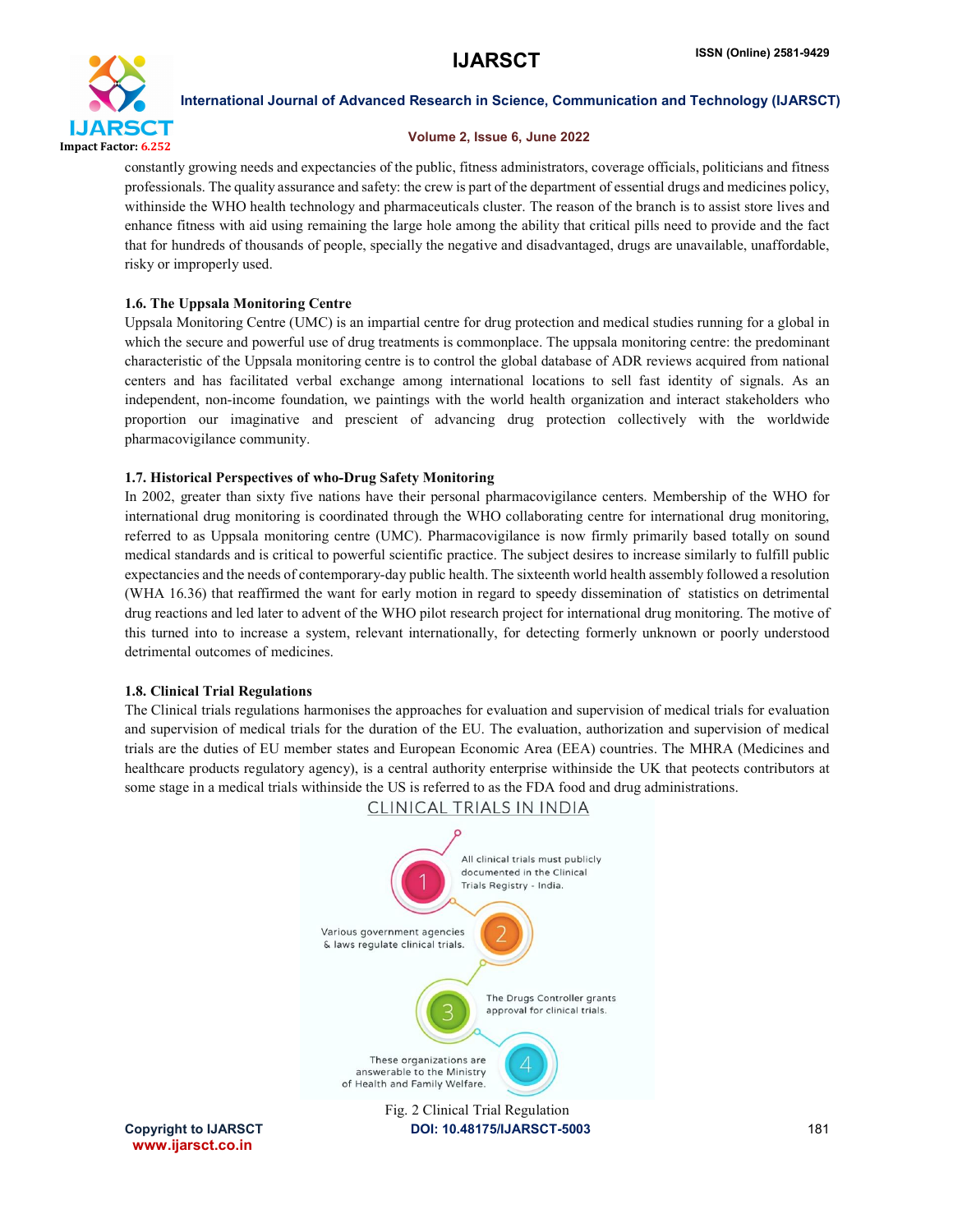

#### Volume 2, Issue 6, June 2022

constantly growing needs and expectancies of the public, fitness administrators, coverage officials, politicians and fitness professionals. The quality assurance and safety: the crew is part of the department of essential drugs and medicines policy, withinside the WHO health technology and pharmaceuticals cluster. The reason of the branch is to assist store lives and enhance fitness with aid using remaining the large hole among the ability that critical pills need to provide and the fact that for hundreds of thousands of people, specially the negative and disadvantaged, drugs are unavailable, unaffordable, risky or improperly used.

# 1.6. The Uppsala Monitoring Centre

Uppsala Monitoring Centre (UMC) is an impartial centre for drug protection and medical studies running for a global in which the secure and powerful use of drug treatments is commonplace. The uppsala monitoring centre: the predominant characteristic of the Uppsala monitoring centre is to control the global database of ADR reviews acquired from national centers and has facilitated verbal exchange among international locations to sell fast identity of signals. As an independent, non-income foundation, we paintings with the world health organization and interact stakeholders who proportion our imaginative and prescient of advancing drug protection collectively with the worldwide pharmacovigilance community.

## 1.7. Historical Perspectives of who-Drug Safety Monitoring

In 2002, greater than sixty five nations have their personal pharmacovigilance centers. Membership of the WHO for international drug monitoring is coordinated through the WHO collaborating centre for international drug monitoring, referred to as Uppsala monitoring centre (UMC). Pharmacovigilance is now firmly primarily based totally on sound medical standards and is critical to powerful scientific practice. The subject desires to increase similarly to fulfill public expectancies and the needs of contemporary-day public health. The sixteenth world health assembly followed a resolution (WHA 16.36) that reaffirmed the want for early motion in regard to speedy dissemination of statistics on detrimental drug reactions and led later to advent of the WHO pilot research project for international drug monitoring. The motive of this turned into to increase a system, relevant internationally, for detecting formerly unknown or poorly understood detrimental outcomes of medicines.

# 1.8. Clinical Trial Regulations

The Clinical trials regulations harmonises the approaches for evaluation and supervision of medical trials for evaluation and supervision of medical trials for the duration of the EU. The evaluation, authorization and supervision of medical trials are the duties of EU member states and European Economic Area (EEA) countries. The MHRA (Medicines and healthcare products regulatory agency), is a central authority enterprise withinside the UK that peotects contributors at some stage in a medical trials withinside the US is referred to as the FDA food and drug administrations.



www.ijarsct.co.in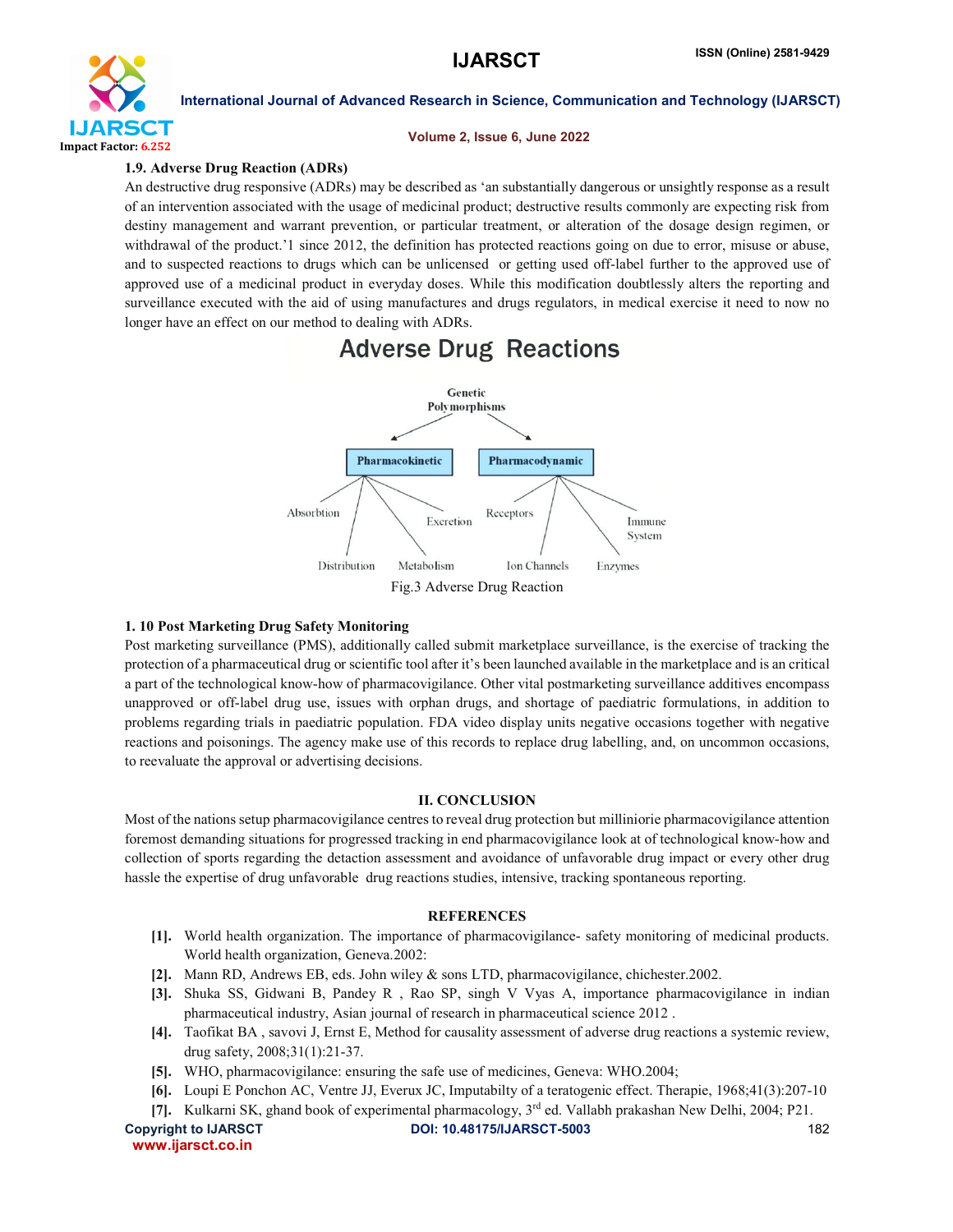

#### Volume 2, Issue 6, June 2022

# 1.9. Adverse Drug Reaction (ADRs)

An destructive drug responsive (ADRs) may be described as 'an substantially dangerous or unsightly response as a result of an intervention associated with the usage of medicinal product; destructive results commonly are expecting risk from destiny management and warrant prevention, or particular treatment, or alteration of the dosage design regimen, or withdrawal of the product.'1 since 2012, the definition has protected reactions going on due to error, misuse or abuse, and to suspected reactions to drugs which can be unlicensed or getting used off-label further to the approved use of approved use of a medicinal product in everyday doses. While this modification doubtlessly alters the reporting and surveillance executed with the aid of using manufactures and drugs regulators, in medical exercise it need to now no longer have an effect on our method to dealing with ADRs.



# 1. 10 Post Marketing Drug Safety Monitoring

Post marketing surveillance (PMS), additionally called submit marketplace surveillance, is the exercise of tracking the protection of a pharmaceutical drug or scientific tool after it's been launched available in the marketplace and is an critical a part of the technological know-how of pharmacovigilance. Other vital postmarketing surveillance additives encompass unapproved or off-label drug use, issues with orphan drugs, and shortage of paediatric formulations, in addition to problems regarding trials in paediatric population. FDA video display units negative occasions together with negative reactions and poisonings. The agency make use of this records to replace drug labelling, and, on uncommon occasions, to reevaluate the approval or advertising decisions.

#### II. CONCLUSION

Most of the nations setup pharmacovigilance centres to reveal drug protection but milliniorie pharmacovigilance attention foremost demanding situations for progressed tracking in end pharmacovigilance look at of technological know-how and collection of sports regarding the detaction assessment and avoidance of unfavorable drug impact or every other drug hassle the expertise of drug unfavorable drug reactions studies, intensive, tracking spontaneous reporting.

#### **REFERENCES**

- [1]. World health organization. The importance of pharmacovigilance- safety monitoring of medicinal products. World health organization, Geneva.2002:
- [2]. Mann RD, Andrews EB, eds. John wiley & sons LTD, pharmacovigilance, chichester.2002.
- [3]. Shuka SS, Gidwani B, Pandey R , Rao SP, singh V Vyas A, importance pharmacovigilance in indian pharmaceutical industry, Asian journal of research in pharmaceutical science 2012 .
- [4]. Taofikat BA , savovi J, Ernst E, Method for causality assessment of adverse drug reactions a systemic review, drug safety, 2008;31(1):21-37.
- [5]. WHO, pharmacovigilance: ensuring the safe use of medicines, Geneva: WHO.2004;
- [6]. Loupi E Ponchon AC, Ventre JJ, Everux JC, Imputabilty of a teratogenic effect. Therapie, 1968;41(3):207-10
- [7]. Kulkarni SK, ghand book of experimental pharmacology, 3rd ed. Vallabh prakashan New Delhi, 2004; P21.